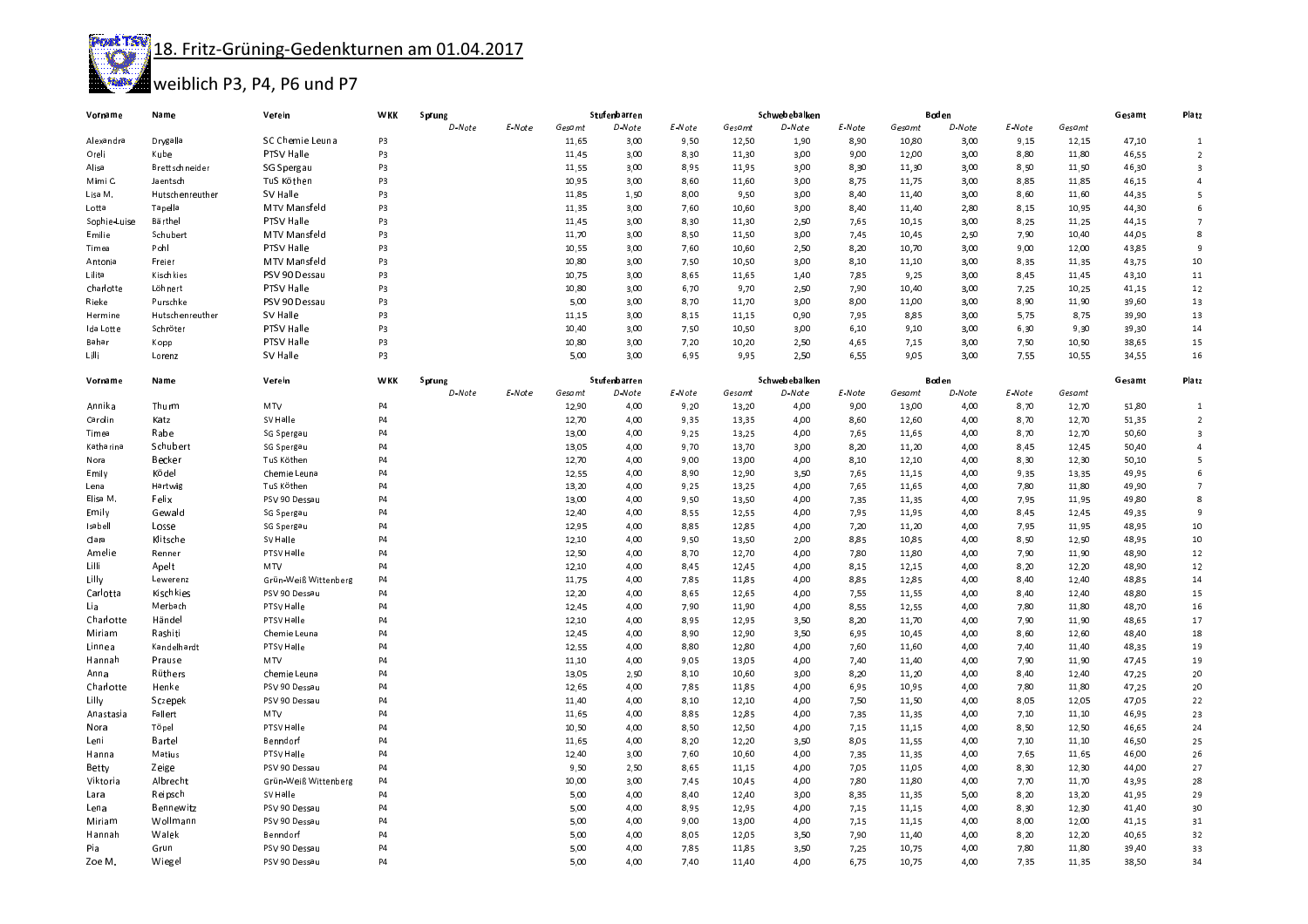Post TSV 18. Fritz-Grüning-Gedenkturnen am 01.04.2017



## weiblich P3, P4, P6 und P7

| Vorname      | Name            | Verein                   | <b>WKK</b>     | Sprung |        | Stufenbarren |              |        | Schwebebalken |               |        |        | Boden  |        | Gesamt         | Platz  |                         |
|--------------|-----------------|--------------------------|----------------|--------|--------|--------------|--------------|--------|---------------|---------------|--------|--------|--------|--------|----------------|--------|-------------------------|
|              |                 |                          |                | D-Note | E-Note | Gesamt       | D-Note       | E-Note | Gesamt        | D-Note        | E-Note | Gesamt | D-Note | E-Note | Gesamt         |        |                         |
| Alexandra    | Drygalla        | SC Chemie Leuna          | P3             |        |        | 11,65        | 3,00         | 9,50   | 12,50         | 1,90          | 8,90   | 10,80  | 3,00   | 9,15   | 12,15          | 47,10  | $\mathbf{1}$            |
| Oreli        | Kube            | PTSV Halle               | P3             |        |        | 11,45        | 3,00         | 8,30   | 11,30         | 3,00          | 9,00   | 12,00  | 3,00   | 8,80   | 11,80          | 46,55  | $\overline{2}$          |
| Alisa        | Brettschneider  | SG Spergau               | P3             |        |        | 11,55        | 3,00         | 8,95   | 11,95         | 3,00          | 8,30   | 11,30  | 3,00   | 8,50   | 11,50          | 46,30  | $\overline{\mathbf{3}}$ |
| Mimi C.      | Jaentsch        | TuS Köthen               | P3             |        |        | 10,95        | 3,00         | 8,60   | 11,60         | 3,00          | 8,75   | 11,75  | 3,00   | 8,85   | 11,85          | 46,15  | $\overline{4}$          |
| Lisa M.      | Hutschenreuther | SV Halle                 | P3             |        |        | 11,85        | 1,50         | 8,00   | 9,50          | 3,00          | 8,40   | 11,40  | 3,00   | 8,60   | 11,60          | 44,35  | 5                       |
| Lotta        | Tapella         | MTV Mansfeld             | P3             |        |        | 11,35        | 3,00         | 7,60   | 10,60         | 3,00          | 8,40   | 11,40  | 2,80   | 8,15   | 10,95          | 44,30  | 6                       |
| Sophie-Luise | Bärthel         | PTSV Halle               | P3             |        |        | 11,45        | 3,00         | 8,30   | 11,30         | 2,50          | 7,65   | 10,15  | 3,00   | 8,25   | 11,25          | 44,15  | $\overline{7}$          |
| Emilie       | Schubert        | MTV Mansfeld             | P3             |        |        | 11,70        | 3,00         | 8,50   | 11,50         | 3,00          | 7,45   | 10,45  | 2,50   | 7,90   | 10,40          | 44,05  | 8                       |
| Timea        | Pohl            | <b>PTSV Halle</b>        | P3             |        |        | 10,55        | 3,00         | 7,60   | 10,60         | 2,50          | 8,20   | 10,70  | 3,00   | 9,00   | 12,00          | 43,85  | 9                       |
| Antonia      | Freier          | MTV Mansfeld             | P3             |        |        | 10,80        | 3,00         | 7,50   | 10,50         | 3,00          | 8,10   | 11,10  | 3,00   | 8,35   | 11,35          | 43,75  | 10                      |
| Lilita       | Kischkies       | PSV 90 Dessau            | P3             |        |        | 10,75        | 3,00         | 8,65   | 11,65         | 1,40          | 7,85   | 9,25   | 3,00   | 8,45   | 11,45          | 43,10  | 11                      |
| Charlotte    | Löhnert         | <b>PTSV Halle</b>        | P3             |        |        | 10,80        | 3,00         | 6,70   | 9,70          | 2,50          | 7,90   | 10,40  | 3,00   | 7,25   | 10,25          | 41,15  | 12                      |
| Rieke        | Purschke        | PSV 90 Dessau            | P3             |        |        | 5,00         | 3,00         | 8,70   | 11,70         | 3,00          | 8,00   | 11,00  | 3,00   | 8,90   | 11,90          | 39,60  | 13                      |
| Hermine      | Hutschenreuther | SV Halle                 | P3             |        |        | 11,15        | 3,00         | 8,15   | 11,15         | 0,90          | 7,95   | 8,85   | 3,00   | 5,75   | 8,75           | 39,90  | 13                      |
| Ida Lotte    | Schröter        | PTSV Halle               | P3             |        |        | 10,40        | 3,00         | 7,50   | 10,50         | 3,00          | 6,10   | 9,10   | 3,00   | 6,30   | 9,30           | 39,30  | 14                      |
| Bahar        | Kopp            | <b>PTSV Halle</b>        | P3             |        |        | 10,80        | 3,00         | 7,20   | 10,20         | 2,50          | 4,65   | 7,15   | 3,00   | 7,50   | 10,50          | 38,65  | 15                      |
| Lilli        | Lorenz          | <b>SV</b> Halle          | P3             |        |        | 5,00         | 3,00         | 6,95   | 9,95          | 2,50          | 6,55   | 9.05   | 3,00   | 7,55   | 10,55          | 34,55  | 16                      |
|              |                 |                          |                |        |        |              |              |        |               |               |        |        |        |        |                |        |                         |
| Vorname      | Name            | Verein                   | <b>WKK</b>     | Sprung |        |              | Stufenbarren |        |               | Schwebebalken |        |        | Boden  |        |                | Gesamt | Platz                   |
|              |                 |                          |                | D-Note | E-Note | Gesamt       | D-Note       | E-Note | Gesamt        | D-Note        | E-Note | Gesamt | D-Note | E-Note | Gesamt         |        |                         |
| Annika       | Thurm           | <b>MTV</b>               | P4             |        |        | 12,90        | 4,00         | 9,20   | 13,20         | 4,00          | 9,00   | 13,00  | 4,00   | 8,70   | 12,70          | 51,80  | $\mathbf{1}$            |
| Carolin      | Katz            | SV Halle                 | P4             |        |        | 12,70        | 4,00         | 9,35   | 13,35         | 4,00          | 8,60   | 12,60  | 4,00   | 8,70   | 12,70          | 51,35  | $\overline{2}$          |
| Timea        | Rabe            | SG Spergau               | P4             |        |        | 13,00        | 4,00         | 9,25   | 13,25         | 4,00          | 7,65   | 11,65  | 4,00   | 8,70   | 12,70          | 50,60  | $\overline{\mathbf{3}}$ |
| Katharina    | Schubert        | SG Spergau               | P4             |        |        | 13,05        | 4,00         | 9,70   | 13,70         | 3,00          | 8,20   | 11,20  | 4,00   | 8,45   | 12,45          | 50,40  | $\overline{4}$          |
| Nora         | Becker          | TuS Köthen               | P <sub>4</sub> |        |        | 12,70        | 4,00         | 9,00   | 13,00         | 4,00          | 8,10   | 12,10  | 4,00   | 8,30   | 12,30          | 50,10  | 5                       |
| Emily        | Ködel           | Chemie Leuna             | P <sub>4</sub> |        |        | 12,55        | 4,00         | 8,90   | 12,90         | 3,50          | 7,65   | 11,15  | 4,00   | 9,35   | 13,35          | 49,95  | 6                       |
| Lena         | Hartwig         | TuS Köthen               | P4             |        |        | 13,20        | 4,00         | 9,25   | 13,25         | 4,00          | 7,65   | 11,65  | 4,00   | 7,80   | 11,80          | 49,90  | $\overline{7}$          |
| Elisa M.     | Felix           | PSV 90 Dessau            | P4             |        |        | 13,00        | 4,00         | 9,50   | 13,50         | 4,00          | 7,35   | 11,35  | 4,00   | 7,95   | 11,95          | 49,80  | 8                       |
| Emily        | Gewald          | SG Spergau               | P4             |        |        | 12,40        | 4,00         | 8,55   | 12,55         | 4,00          | 7,95   | 11,95  | 4,00   | 8,45   | 12,45          | 49,35  | 9                       |
| Isabell      | Losse           | SG Spergau               | P <sub>4</sub> |        |        | 12,95        | 4,00         | 8,85   | 12,85         | 4,00          | 7,20   | 11,20  | 4,00   | 7,95   | 11,95          | 48,95  | 10                      |
| Clara        | Klitsche        | SV Halle                 | P <sub>4</sub> |        |        | 12,10        | 4,00         | 9,50   | 13,50         | 2,00          | 8,85   | 10,85  | 4,00   | 8,50   | 12,50          | 48,95  | 10                      |
| Amelie       | Renner          | PTSV Halle               | P4             |        |        | 12,50        | 4,00         | 8,70   | 12,70         | 4,00          | 7,80   | 11,80  | 4,00   | 7,90   | 11,90          | 48,90  | 12                      |
| Lilli        | Apelt           | <b>MTV</b>               | P <sub>4</sub> |        |        | 12,10        | 4,00         | 8,45   | 12,45         | 4,00          | 8,15   | 12,15  | 4,00   | 8,20   | 12,20          | 48,90  | 12                      |
| Lilly        | Lewerenz        | Grün-Weiß Wittenberg     | P <sub>4</sub> |        |        | 11,75        | 4,00         | 7,85   | 11,85         | 4,00          | 8,85   | 12,85  | 4,00   | 8,40   | 12,40          | 48,85  | 14                      |
| Carlotta     | Kischkies       | PSV 90 Dessau            | P <sub>4</sub> |        |        | 12,20        | 4,00         | 8,65   | 12,65         | 4,00          | 7,55   | 11,55  | 4,00   | 8,40   | 12,40          | 48,80  | 15                      |
| Lia          | Merbach         | PTSV Halle               | P <sub>4</sub> |        |        | 12,45        | 4,00         | 7,90   | 11,90         | 4,00          | 8,55   | 12,55  | 4,00   | 7,80   | 11,80          | 48,70  | 16                      |
| Charlotte    | Händel          | PTSV Halle               | P4             |        |        | 12,10        | 4,00         | 8,95   | 12,95         | 3,50          | 8,20   | 11,70  | 4,00   | 7,90   | 11,90          | 48,65  | 17                      |
| Miriam       | Rashiti         | Chemie Leuna             | P <sub>4</sub> |        |        | 12,45        | 4,00         | 8,90   | 12,90         | 3,50          | 6,95   | 10,45  | 4,00   | 8,60   |                | 48,40  | 18                      |
|              | Kandelhardt     |                          | P <sub>4</sub> |        |        | 12,55        | 4,00         |        | 12,80         |               |        | 11,60  | 4,00   | 7,40   | 12,60<br>11,40 | 48,35  | 19                      |
| Linnea       |                 | PTSV Halle<br><b>MTV</b> | P4             |        |        | 11,10        | 4,00         | 8,80   |               | 4,00          | 7,60   | 11,40  |        | 7,90   | 11,90          |        | 19                      |
| Hannah       | Prause          |                          | P <sub>4</sub> |        |        |              |              | 9,05   | 13,05         | 4,00          | 7,40   |        | 4,00   |        |                | 47,45  |                         |
| Anna         | Rüthers         | Chemie Leuna             |                |        |        | 13,05        | 2,50         | 8,10   | 10,60         | 3,00          | 8,20   | 11,20  | 4,00   | 8,40   | 12,40          | 47.25  | 20                      |
| Charlotte    | Henke           | PSV 90 Dessau            | P <sub>4</sub> |        |        | 12,65        | 4,00         | 7,85   | 11,85         | 4,00          | 6,95   | 10,95  | 4,00   | 7,80   | 11,80          | 47,25  | 20                      |
| Lilly        | Sczepek         | PSV 90 Dessau            | P <sub>4</sub> |        |        | 11,40        | 4,00         | 8,10   | 12,10         | 4,00          | 7,50   | 11,50  | 4,00   | 8.05   | 12,05          | 47,05  | 22                      |
| Anastasia    | Fallert         | <b>MTV</b>               | P <sub>4</sub> |        |        | 11,65        | 4,00         | 8,85   | 12,85         | 4,00          | 7,35   | 11,35  | 4,00   | 7,10   | 11,10          | 46,95  | 23                      |
| Nora         | Töpe            | PTSV Halle               | P <sub>4</sub> |        |        | 10,50        | 4,00         | 8,50   | 12,50         | 4,00          | 7,15   | 11,15  | 4,00   | 8,50   | 12,50          | 46,65  | 24                      |
| Leni         | Bartel          | Benndorf                 | P <sub>4</sub> |        |        | 11,65        | 4,00         | 8,20   | 12,20         | 3,50          | 8,05   | 11,55  | 4,00   | 7,10   | 11,10          | 46,50  | $25\,$                  |
| Hanna        | Matius          | PTSV Halle               | P <sub>4</sub> |        |        | 12,40        | 3,00         | 7,60   | 10,60         | 4,00          | 7,35   | 11,35  | 4,00   | 7,65   | 11,65          | 46,00  | 26                      |
| <b>Betty</b> | Zeige           | PSV 90 Dessau            | P4             |        |        | 9,50         | 2,50         | 8,65   | 11,15         | 4,00          | 7,05   | 11,05  | 4,00   | 8,30   | 12,30          | 44,00  | 27                      |
| Viktoria     | Albrecht        | Grün-Weiß Wittenberg     | P4             |        |        | 10,00        | 3,00         | 7,45   | 10,45         | 4,00          | 7,80   | 11,80  | 4,00   | 7,70   | 11,70          | 43,95  | 28                      |
| Lara         | Reipsch         | SV Halle                 | P <sub>4</sub> |        |        | 5,00         | 4,00         | 8,40   | 12,40         | 3,00          | 8,35   | 11,35  | 5,00   | 8,20   | 13,20          | 41,95  | 29                      |
| Lena         | Bennewitz       | PSV 90 Dessau            | P4             |        |        | 5,00         | 4,00         | 8,95   | 12,95         | 4,00          | 7,15   | 11,15  | 4,00   | 8,30   | 12,30          | 41,40  | 30                      |
| Miriam       | Wollmann        | PSV 90 Dessau            | P4             |        |        | 5,00         | 4,00         | 9,00   | 13,00         | 4,00          | 7,15   | 11,15  | 4,00   | 8,00   | 12,00          | 41,15  | $31\,$                  |
| Hannah       | Walek           | Benndorf                 | P4             |        |        | 5,00         | 4,00         | 8,05   | 12,05         | 3,50          | 7,90   | 11,40  | 4,00   | 8,20   | 12,20          | 40,65  | 32                      |
| Pia          | Grun            | PSV 90 Dessau            | <b>P4</b>      |        |        | 5,00         | 4,00         | 7,85   | 11,85         | 3,50          | 7,25   | 10,75  | 4,00   | 7,80   | 11,80          | 39,40  | 33                      |
| Zoe M.       | Wiegel          | PSV 90 Dessau            | P <sub>4</sub> |        |        | 5,00         | 4,00         | 7,40   | 11,40         | 4,00          | 6,75   | 10,75  | 4,00   | 7,35   | 11,35          | 38,50  | 34                      |